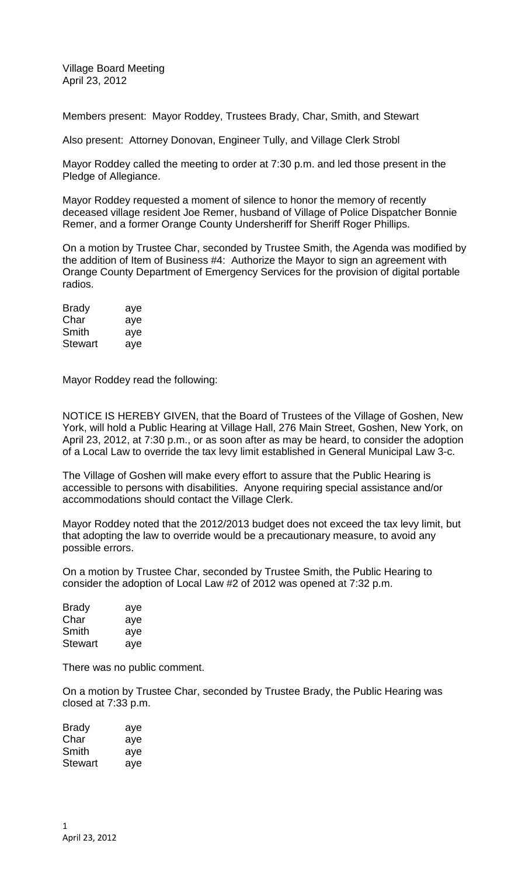Village Board Meeting April 23, 2012

Members present: Mayor Roddey, Trustees Brady, Char, Smith, and Stewart

Also present: Attorney Donovan, Engineer Tully, and Village Clerk Strobl

Mayor Roddey called the meeting to order at 7:30 p.m. and led those present in the Pledge of Allegiance.

Mayor Roddey requested a moment of silence to honor the memory of recently deceased village resident Joe Remer, husband of Village of Police Dispatcher Bonnie Remer, and a former Orange County Undersheriff for Sheriff Roger Phillips.

On a motion by Trustee Char, seconded by Trustee Smith, the Agenda was modified by the addition of Item of Business #4: Authorize the Mayor to sign an agreement with Orange County Department of Emergency Services for the provision of digital portable radios.

| <b>Brady</b>   | aye |
|----------------|-----|
| Char           | aye |
| Smith          | aye |
| <b>Stewart</b> | aye |

Mayor Roddey read the following:

NOTICE IS HEREBY GIVEN, that the Board of Trustees of the Village of Goshen, New York, will hold a Public Hearing at Village Hall, 276 Main Street, Goshen, New York, on April 23, 2012, at 7:30 p.m., or as soon after as may be heard, to consider the adoption of a Local Law to override the tax levy limit established in General Municipal Law 3-c.

The Village of Goshen will make every effort to assure that the Public Hearing is accessible to persons with disabilities. Anyone requiring special assistance and/or accommodations should contact the Village Clerk.

Mayor Roddey noted that the 2012/2013 budget does not exceed the tax levy limit, but that adopting the law to override would be a precautionary measure, to avoid any possible errors.

On a motion by Trustee Char, seconded by Trustee Smith, the Public Hearing to consider the adoption of Local Law #2 of 2012 was opened at 7:32 p.m.

| Brady   | aye |
|---------|-----|
| Char    | aye |
| Smith   | aye |
| Stewart | aye |

There was no public comment.

On a motion by Trustee Char, seconded by Trustee Brady, the Public Hearing was closed at 7:33 p.m.

| Brady   | aye |
|---------|-----|
| Char    | aye |
| Smith   | aye |
| Stewart | aye |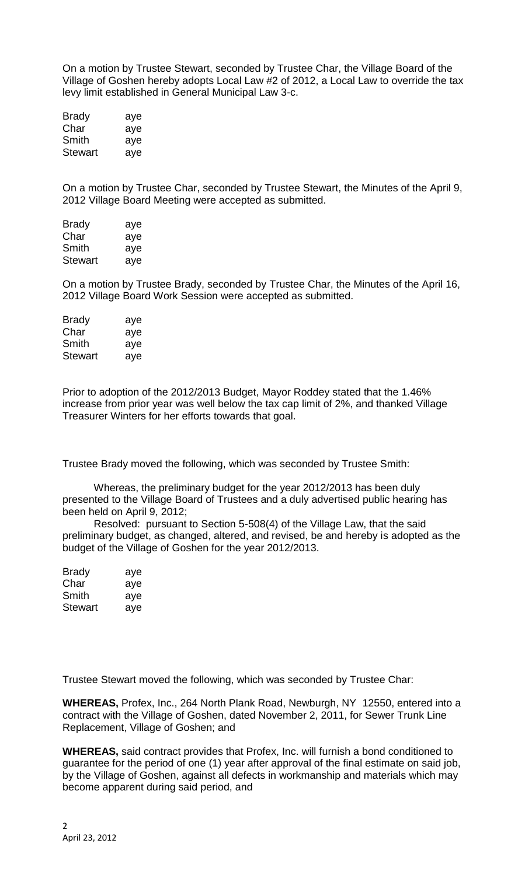On a motion by Trustee Stewart, seconded by Trustee Char, the Village Board of the Village of Goshen hereby adopts Local Law #2 of 2012, a Local Law to override the tax levy limit established in General Municipal Law 3-c.

| <b>Brady</b> | aye |
|--------------|-----|
| Char         | aye |
| Smith        | aye |
| Stewart      | aye |

On a motion by Trustee Char, seconded by Trustee Stewart, the Minutes of the April 9, 2012 Village Board Meeting were accepted as submitted.

| <b>Brady</b>   | aye |
|----------------|-----|
| Char           | aye |
| Smith          | aye |
| <b>Stewart</b> | aye |

On a motion by Trustee Brady, seconded by Trustee Char, the Minutes of the April 16, 2012 Village Board Work Session were accepted as submitted.

| <b>Brady</b>   | aye |
|----------------|-----|
| Char           | aye |
| Smith          | aye |
| <b>Stewart</b> | ave |

Prior to adoption of the 2012/2013 Budget, Mayor Roddey stated that the 1.46% increase from prior year was well below the tax cap limit of 2%, and thanked Village Treasurer Winters for her efforts towards that goal.

Trustee Brady moved the following, which was seconded by Trustee Smith:

Whereas, the preliminary budget for the year 2012/2013 has been duly presented to the Village Board of Trustees and a duly advertised public hearing has been held on April 9, 2012;

Resolved: pursuant to Section 5-508(4) of the Village Law, that the said preliminary budget, as changed, altered, and revised, be and hereby is adopted as the budget of the Village of Goshen for the year 2012/2013.

| <b>Brady</b>   | aye |
|----------------|-----|
| Char           | aye |
| Smith          | aye |
| <b>Stewart</b> | aye |

Trustee Stewart moved the following, which was seconded by Trustee Char:

**WHEREAS,** Profex, Inc., 264 North Plank Road, Newburgh, NY 12550, entered into a contract with the Village of Goshen, dated November 2, 2011, for Sewer Trunk Line Replacement, Village of Goshen; and

**WHEREAS,** said contract provides that Profex, Inc. will furnish a bond conditioned to guarantee for the period of one (1) year after approval of the final estimate on said job, by the Village of Goshen, against all defects in workmanship and materials which may become apparent during said period, and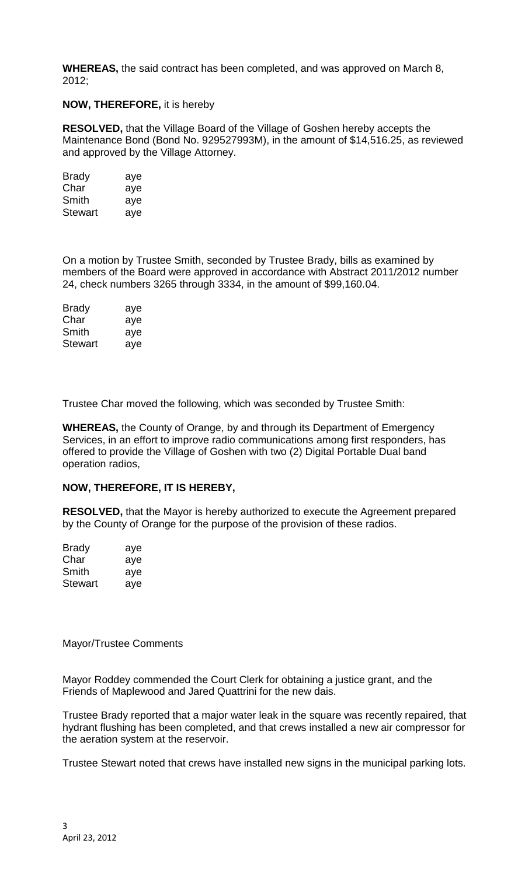**WHEREAS,** the said contract has been completed, and was approved on March 8, 2012;

## **NOW, THEREFORE,** it is hereby

**RESOLVED,** that the Village Board of the Village of Goshen hereby accepts the Maintenance Bond (Bond No. 929527993M), in the amount of \$14,516.25, as reviewed and approved by the Village Attorney.

| <b>Brady</b> | aye |
|--------------|-----|
| Char         | aye |
| Smith        | aye |
| Stewart      | aye |

On a motion by Trustee Smith, seconded by Trustee Brady, bills as examined by members of the Board were approved in accordance with Abstract 2011/2012 number 24, check numbers 3265 through 3334, in the amount of \$99,160.04.

| <b>Brady</b> | aye |
|--------------|-----|
| Char         | aye |
| Smith        | aye |
| Stewart      | aye |

Trustee Char moved the following, which was seconded by Trustee Smith:

**WHEREAS,** the County of Orange, by and through its Department of Emergency Services, in an effort to improve radio communications among first responders, has offered to provide the Village of Goshen with two (2) Digital Portable Dual band operation radios,

## **NOW, THEREFORE, IT IS HEREBY,**

**RESOLVED,** that the Mayor is hereby authorized to execute the Agreement prepared by the County of Orange for the purpose of the provision of these radios.

| Brady   | aye |
|---------|-----|
| Char    | aye |
| Smith   | aye |
| Stewart | aye |

Mayor/Trustee Comments

Mayor Roddey commended the Court Clerk for obtaining a justice grant, and the Friends of Maplewood and Jared Quattrini for the new dais.

Trustee Brady reported that a major water leak in the square was recently repaired, that hydrant flushing has been completed, and that crews installed a new air compressor for the aeration system at the reservoir.

Trustee Stewart noted that crews have installed new signs in the municipal parking lots.